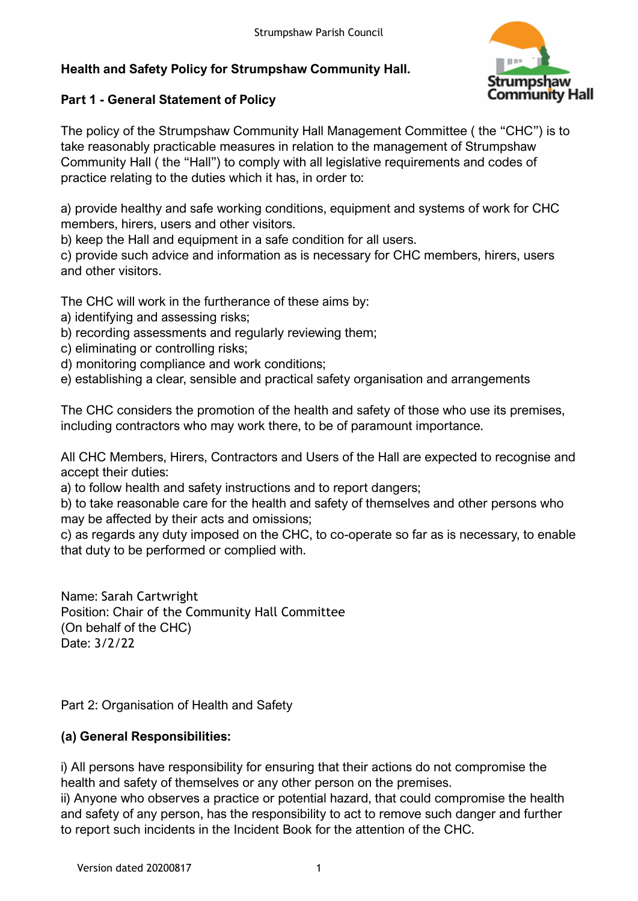# **Health and Safety Policy for Strumpshaw Community Hall.**



## **Part 1 - General Statement of Policy**

The policy of the Strumpshaw Community Hall Management Committee ( the "CHC") is to take reasonably practicable measures in relation to the management of Strumpshaw Community Hall ( the "Hall") to comply with all legislative requirements and codes of practice relating to the duties which it has, in order to:

a) provide healthy and safe working conditions, equipment and systems of work for CHC members, hirers, users and other visitors.

b) keep the Hall and equipment in a safe condition for all users.

c) provide such advice and information as is necessary for CHC members, hirers, users and other visitors.

The CHC will work in the furtherance of these aims by:

- a) identifying and assessing risks;
- b) recording assessments and regularly reviewing them;
- c) eliminating or controlling risks;
- d) monitoring compliance and work conditions;
- e) establishing a clear, sensible and practical safety organisation and arrangements

The CHC considers the promotion of the health and safety of those who use its premises, including contractors who may work there, to be of paramount importance.

All CHC Members, Hirers, Contractors and Users of the Hall are expected to recognise and accept their duties:

a) to follow health and safety instructions and to report dangers;

b) to take reasonable care for the health and safety of themselves and other persons who may be affected by their acts and omissions;

c) as regards any duty imposed on the CHC, to co-operate so far as is necessary, to enable that duty to be performed or complied with.

Name: Sarah Cartwright Position: Chair of the Community Hall Committee (On behalf of the CHC) Date: 3/2/22

Part 2: Organisation of Health and Safety

# **(a) General Responsibilities:**

i) All persons have responsibility for ensuring that their actions do not compromise the health and safety of themselves or any other person on the premises.

ii) Anyone who observes a practice or potential hazard, that could compromise the health and safety of any person, has the responsibility to act to remove such danger and further to report such incidents in the Incident Book for the attention of the CHC.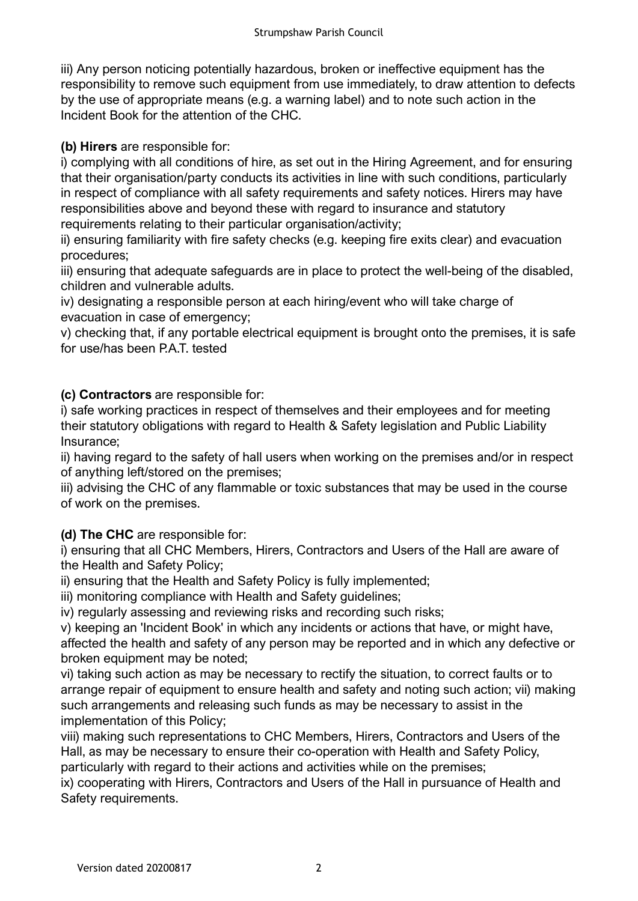iii) Any person noticing potentially hazardous, broken or ineffective equipment has the responsibility to remove such equipment from use immediately, to draw attention to defects by the use of appropriate means (e.g. a warning label) and to note such action in the Incident Book for the attention of the CHC.

**(b) Hirers** are responsible for:

i) complying with all conditions of hire, as set out in the Hiring Agreement, and for ensuring that their organisation/party conducts its activities in line with such conditions, particularly in respect of compliance with all safety requirements and safety notices. Hirers may have responsibilities above and beyond these with regard to insurance and statutory requirements relating to their particular organisation/activity;

ii) ensuring familiarity with fire safety checks (e.g. keeping fire exits clear) and evacuation procedures;

iii) ensuring that adequate safeguards are in place to protect the well-being of the disabled, children and vulnerable adults.

iv) designating a responsible person at each hiring/event who will take charge of evacuation in case of emergency;

v) checking that, if any portable electrical equipment is brought onto the premises, it is safe for use/has been P.A.T. tested

**(c) Contractors** are responsible for:

i) safe working practices in respect of themselves and their employees and for meeting their statutory obligations with regard to Health & Safety legislation and Public Liability Insurance;

ii) having regard to the safety of hall users when working on the premises and/or in respect of anything left/stored on the premises;

iii) advising the CHC of any flammable or toxic substances that may be used in the course of work on the premises.

**(d) The CHC** are responsible for:

i) ensuring that all CHC Members, Hirers, Contractors and Users of the Hall are aware of the Health and Safety Policy;

ii) ensuring that the Health and Safety Policy is fully implemented;

iii) monitoring compliance with Health and Safety quidelines;

iv) regularly assessing and reviewing risks and recording such risks;

v) keeping an 'Incident Book' in which any incidents or actions that have, or might have, affected the health and safety of any person may be reported and in which any defective or broken equipment may be noted;

vi) taking such action as may be necessary to rectify the situation, to correct faults or to arrange repair of equipment to ensure health and safety and noting such action; vii) making such arrangements and releasing such funds as may be necessary to assist in the implementation of this Policy;

viii) making such representations to CHC Members, Hirers, Contractors and Users of the Hall, as may be necessary to ensure their co-operation with Health and Safety Policy, particularly with regard to their actions and activities while on the premises;

ix) cooperating with Hirers, Contractors and Users of the Hall in pursuance of Health and Safety requirements.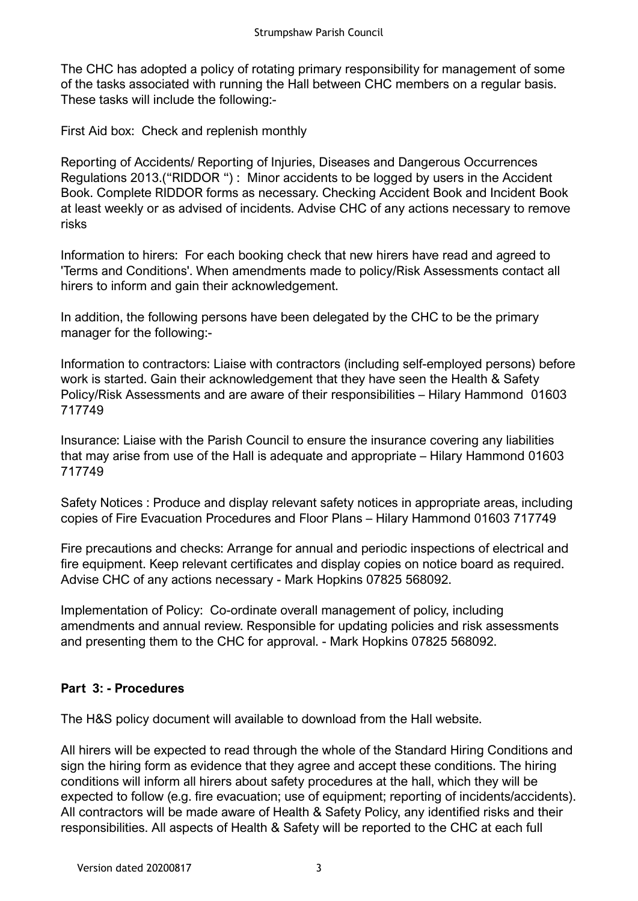The CHC has adopted a policy of rotating primary responsibility for management of some of the tasks associated with running the Hall between CHC members on a regular basis. These tasks will include the following:-

First Aid box: Check and replenish monthly

Reporting of Accidents/ Reporting of Injuries, Diseases and Dangerous Occurrences Regulations 2013.("RIDDOR ") : Minor accidents to be logged by users in the Accident Book. Complete RIDDOR forms as necessary. Checking Accident Book and Incident Book at least weekly or as advised of incidents. Advise CHC of any actions necessary to remove risks

Information to hirers: For each booking check that new hirers have read and agreed to 'Terms and Conditions'. When amendments made to policy/Risk Assessments contact all hirers to inform and gain their acknowledgement.

In addition, the following persons have been delegated by the CHC to be the primary manager for the following:-

Information to contractors: Liaise with contractors (including self-employed persons) before work is started. Gain their acknowledgement that they have seen the Health & Safety Policy/Risk Assessments and are aware of their responsibilities – Hilary Hammond 01603 717749

Insurance: Liaise with the Parish Council to ensure the insurance covering any liabilities that may arise from use of the Hall is adequate and appropriate – Hilary Hammond 01603 717749

Safety Notices : Produce and display relevant safety notices in appropriate areas, including copies of Fire Evacuation Procedures and Floor Plans – Hilary Hammond 01603 717749

Fire precautions and checks: Arrange for annual and periodic inspections of electrical and fire equipment. Keep relevant certificates and display copies on notice board as required. Advise CHC of any actions necessary - Mark Hopkins 07825 568092.

Implementation of Policy: Co-ordinate overall management of policy, including amendments and annual review. Responsible for updating policies and risk assessments and presenting them to the CHC for approval. - Mark Hopkins 07825 568092.

# **Part 3: - Procedures**

The H&S policy document will available to download from the Hall website.

All hirers will be expected to read through the whole of the Standard Hiring Conditions and sign the hiring form as evidence that they agree and accept these conditions. The hiring conditions will inform all hirers about safety procedures at the hall, which they will be expected to follow (e.g. fire evacuation; use of equipment; reporting of incidents/accidents). All contractors will be made aware of Health & Safety Policy, any identified risks and their responsibilities. All aspects of Health & Safety will be reported to the CHC at each full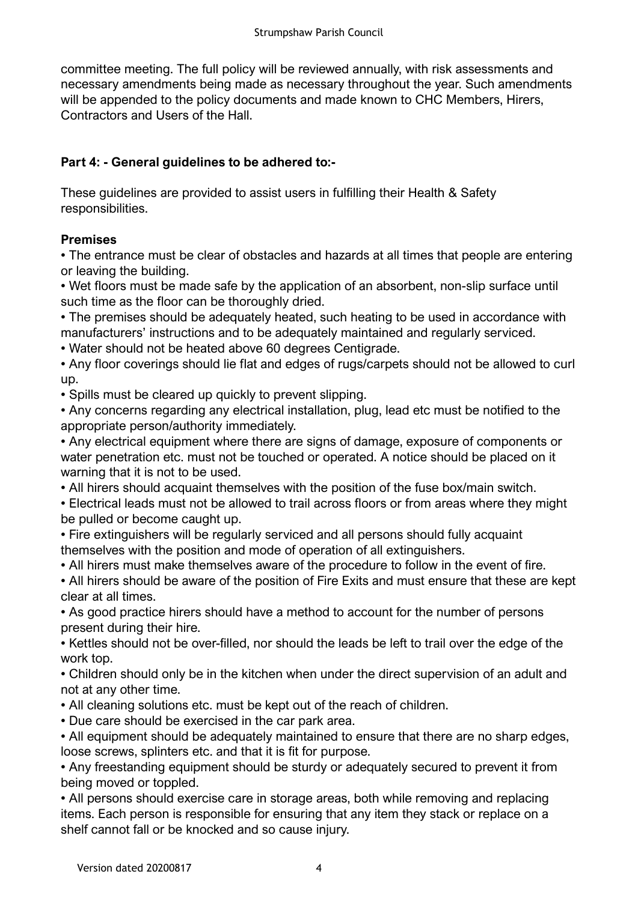committee meeting. The full policy will be reviewed annually, with risk assessments and necessary amendments being made as necessary throughout the year. Such amendments will be appended to the policy documents and made known to CHC Members, Hirers, Contractors and Users of the Hall.

## **Part 4: - General guidelines to be adhered to:-**

These guidelines are provided to assist users in fulfilling their Health & Safety responsibilities.

## **Premises**

• The entrance must be clear of obstacles and hazards at all times that people are entering or leaving the building.

• Wet floors must be made safe by the application of an absorbent, non-slip surface until such time as the floor can be thoroughly dried.

• The premises should be adequately heated, such heating to be used in accordance with manufacturers' instructions and to be adequately maintained and regularly serviced.

• Water should not be heated above 60 degrees Centigrade.

• Any floor coverings should lie flat and edges of rugs/carpets should not be allowed to curl up.

• Spills must be cleared up quickly to prevent slipping.

• Any concerns regarding any electrical installation, plug, lead etc must be notified to the appropriate person/authority immediately.

• Any electrical equipment where there are signs of damage, exposure of components or water penetration etc. must not be touched or operated. A notice should be placed on it warning that it is not to be used.

• All hirers should acquaint themselves with the position of the fuse box/main switch.

• Electrical leads must not be allowed to trail across floors or from areas where they might be pulled or become caught up.

• Fire extinguishers will be regularly serviced and all persons should fully acquaint themselves with the position and mode of operation of all extinguishers.

• All hirers must make themselves aware of the procedure to follow in the event of fire.

• All hirers should be aware of the position of Fire Exits and must ensure that these are kept clear at all times.

• As good practice hirers should have a method to account for the number of persons present during their hire.

• Kettles should not be over-filled, nor should the leads be left to trail over the edge of the work top.

• Children should only be in the kitchen when under the direct supervision of an adult and not at any other time.

• All cleaning solutions etc. must be kept out of the reach of children.

• Due care should be exercised in the car park area.

• All equipment should be adequately maintained to ensure that there are no sharp edges, loose screws, splinters etc. and that it is fit for purpose.

• Any freestanding equipment should be sturdy or adequately secured to prevent it from being moved or toppled.

• All persons should exercise care in storage areas, both while removing and replacing items. Each person is responsible for ensuring that any item they stack or replace on a shelf cannot fall or be knocked and so cause injury.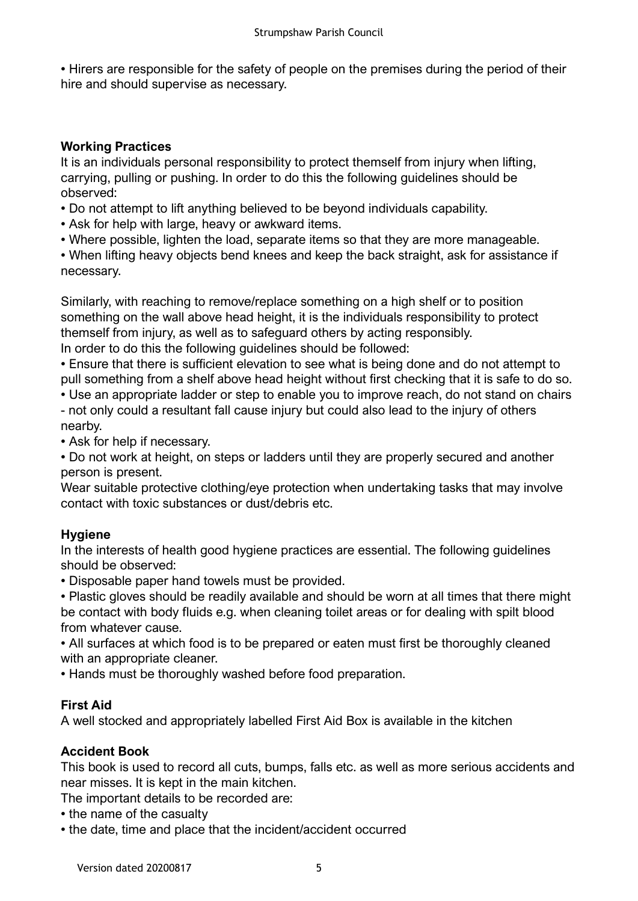• Hirers are responsible for the safety of people on the premises during the period of their hire and should supervise as necessary.

#### **Working Practices**

It is an individuals personal responsibility to protect themself from injury when lifting, carrying, pulling or pushing. In order to do this the following guidelines should be observed:

• Do not attempt to lift anything believed to be beyond individuals capability.

• Ask for help with large, heavy or awkward items.

• Where possible, lighten the load, separate items so that they are more manageable.

• When lifting heavy objects bend knees and keep the back straight, ask for assistance if necessary.

Similarly, with reaching to remove/replace something on a high shelf or to position something on the wall above head height, it is the individuals responsibility to protect themself from injury, as well as to safeguard others by acting responsibly. In order to do this the following guidelines should be followed:

• Ensure that there is sufficient elevation to see what is being done and do not attempt to pull something from a shelf above head height without first checking that it is safe to do so.

• Use an appropriate ladder or step to enable you to improve reach, do not stand on chairs - not only could a resultant fall cause injury but could also lead to the injury of others

nearby. • Ask for help if necessary.

• Do not work at height, on steps or ladders until they are properly secured and another person is present.

Wear suitable protective clothing/eye protection when undertaking tasks that may involve contact with toxic substances or dust/debris etc.

## **Hygiene**

In the interests of health good hygiene practices are essential. The following guidelines should be observed:

• Disposable paper hand towels must be provided.

• Plastic gloves should be readily available and should be worn at all times that there might be contact with body fluids e.g. when cleaning toilet areas or for dealing with spilt blood from whatever cause.

• All surfaces at which food is to be prepared or eaten must first be thoroughly cleaned with an appropriate cleaner.

• Hands must be thoroughly washed before food preparation.

## **First Aid**

A well stocked and appropriately labelled First Aid Box is available in the kitchen

## **Accident Book**

This book is used to record all cuts, bumps, falls etc. as well as more serious accidents and near misses. It is kept in the main kitchen.

The important details to be recorded are:

- the name of the casualty
- the date, time and place that the incident/accident occurred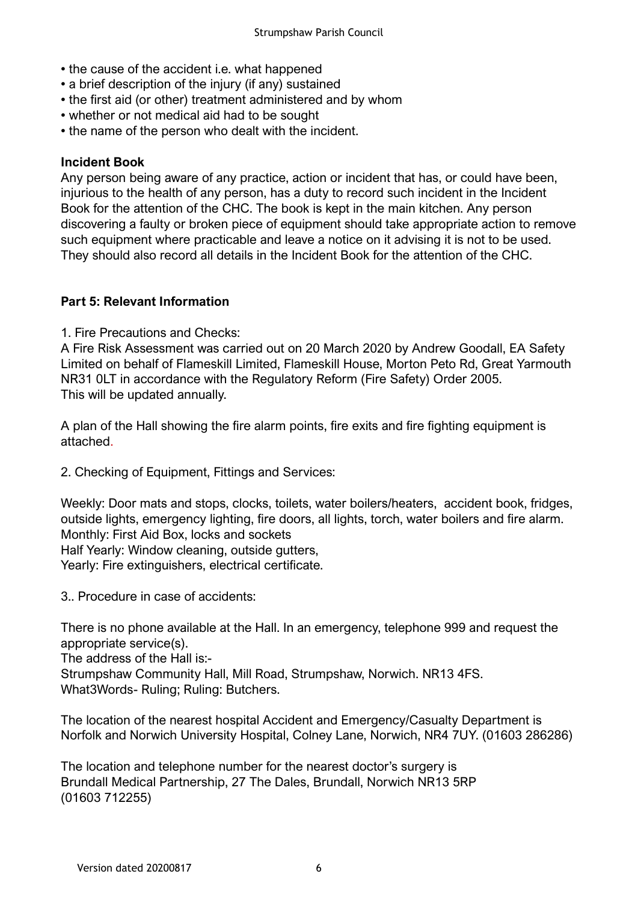- the cause of the accident i.e. what happened
- a brief description of the injury (if any) sustained
- the first aid (or other) treatment administered and by whom
- whether or not medical aid had to be sought
- the name of the person who dealt with the incident.

#### **Incident Book**

Any person being aware of any practice, action or incident that has, or could have been, injurious to the health of any person, has a duty to record such incident in the Incident Book for the attention of the CHC. The book is kept in the main kitchen. Any person discovering a faulty or broken piece of equipment should take appropriate action to remove such equipment where practicable and leave a notice on it advising it is not to be used. They should also record all details in the Incident Book for the attention of the CHC.

#### **Part 5: Relevant Information**

1. Fire Precautions and Checks:

A Fire Risk Assessment was carried out on 20 March 2020 by Andrew Goodall, EA Safety Limited on behalf of Flameskill Limited, Flameskill House, Morton Peto Rd, Great Yarmouth NR31 0LT in accordance with the Regulatory Reform (Fire Safety) Order 2005. This will be updated annually.

A plan of the Hall showing the fire alarm points, fire exits and fire fighting equipment is attached.

2. Checking of Equipment, Fittings and Services:

Weekly: Door mats and stops, clocks, toilets, water boilers/heaters, accident book, fridges, outside lights, emergency lighting, fire doors, all lights, torch, water boilers and fire alarm. Monthly: First Aid Box, locks and sockets Half Yearly: Window cleaning, outside gutters, Yearly: Fire extinguishers, electrical certificate.

3.. Procedure in case of accidents:

There is no phone available at the Hall. In an emergency, telephone 999 and request the appropriate service(s).

The address of the Hall is:-

Strumpshaw Community Hall, Mill Road, Strumpshaw, Norwich. NR13 4FS. What3Words- Ruling; Ruling: Butchers.

The location of the nearest hospital Accident and Emergency/Casualty Department is Norfolk and Norwich University Hospital, Colney Lane, Norwich, NR4 7UY. (01603 286286)

The location and telephone number for the nearest doctor's surgery is Brundall Medical Partnership, 27 The Dales, Brundall, Norwich NR13 5RP (01603 712255)